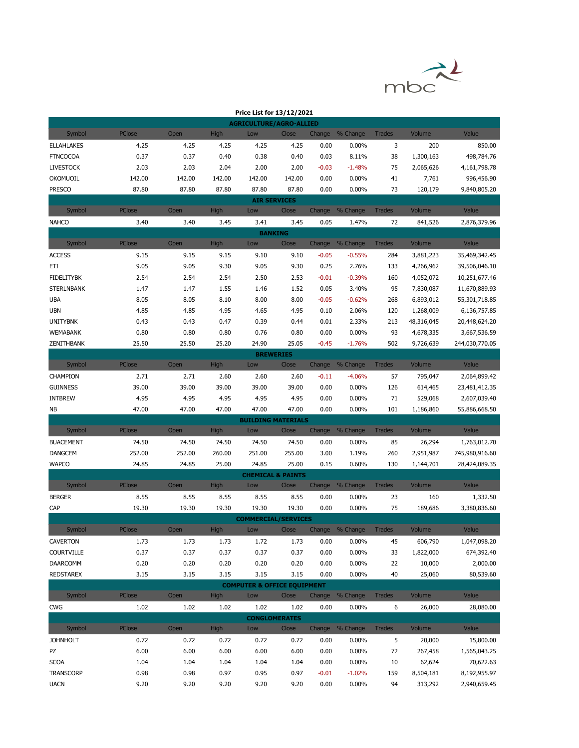

| Price List for 13/12/2021              |               |        |             |                              |        |         |                 |               |            |                |
|----------------------------------------|---------------|--------|-------------|------------------------------|--------|---------|-----------------|---------------|------------|----------------|
| <b>AGRICULTURE/AGRO-ALLIED</b>         |               |        |             |                              |        |         |                 |               |            |                |
| Symbol                                 | <b>PClose</b> | Open   | High        | Low                          | Close  | Change  | % Change        | <b>Trades</b> | Volume     | Value          |
| <b>ELLAHLAKES</b>                      | 4.25          | 4.25   | 4.25        | 4.25                         | 4.25   | 0.00    | 0.00%           | 3             | 200        | 850.00         |
| <b>FTNCOCOA</b>                        | 0.37          | 0.37   | 0.40        | 0.38                         | 0.40   | 0.03    | 8.11%           | 38            | 1,300,163  | 498,784.76     |
| <b>LIVESTOCK</b>                       | 2.03          | 2.03   | 2.04        | 2.00                         | 2.00   | $-0.03$ | $-1.48%$        | 75            | 2,065,626  | 4,161,798.78   |
| OKOMUOIL                               | 142.00        | 142.00 | 142.00      | 142.00                       | 142.00 | 0.00    | 0.00%           | 41            | 7,761      | 996,456.90     |
| <b>PRESCO</b>                          | 87.80         | 87.80  | 87.80       | 87.80                        | 87.80  | 0.00    | 0.00%           | 73            | 120,179    | 9,840,805.20   |
| <b>AIR SERVICES</b>                    |               |        |             |                              |        |         |                 |               |            |                |
| Symbol                                 | PClose        | Open   | High        | Low                          | Close  | Change  | % Change        | <b>Trades</b> | Volume     | Value          |
| <b>NAHCO</b>                           | 3.40          | 3.40   | 3.45        | 3.41                         | 3.45   | 0.05    | 1.47%           | 72            | 841,526    | 2,876,379.96   |
|                                        |               |        |             | <b>BANKING</b>               |        |         |                 |               |            |                |
| Symbol                                 | PClose        | Open   | High        | Low                          | Close  | Change  | % Change        | <b>Trades</b> | Volume     | Value          |
| <b>ACCESS</b>                          | 9.15          | 9.15   | 9.15        | 9.10                         | 9.10   | $-0.05$ | $-0.55%$        | 284           | 3,881,223  | 35,469,342.45  |
| ETI                                    | 9.05          | 9.05   | 9.30        | 9.05                         | 9.30   | 0.25    | 2.76%           | 133           | 4,266,962  | 39,506,046.10  |
| <b>FIDELITYBK</b>                      | 2.54          | 2.54   | 2.54        | 2.50                         | 2.53   | $-0.01$ | $-0.39%$        | 160           | 4,052,072  | 10,251,677.46  |
| <b>STERLNBANK</b>                      | 1.47          | 1.47   | 1.55        | 1.46                         | 1.52   | 0.05    | 3.40%           | 95            | 7,830,087  | 11,670,889.93  |
| <b>UBA</b>                             | 8.05          | 8.05   | 8.10        | 8.00                         | 8.00   | $-0.05$ | $-0.62%$        | 268           | 6,893,012  | 55,301,718.85  |
| <b>UBN</b>                             | 4.85          | 4.85   | 4.95        | 4.65                         | 4.95   | 0.10    | 2.06%           | 120           | 1,268,009  | 6,136,757.85   |
| <b>UNITYBNK</b>                        | 0.43          | 0.43   | 0.47        | 0.39                         | 0.44   | 0.01    | 2.33%           | 213           | 48,316,045 | 20,448,624.20  |
| <b>WEMABANK</b>                        | 0.80          | 0.80   | 0.80        | 0.76                         | 0.80   | 0.00    | 0.00%           | 93            | 4,678,335  | 3,667,536.59   |
| <b>ZENITHBANK</b>                      | 25.50         | 25.50  | 25.20       | 24.90                        | 25.05  | $-0.45$ | $-1.76%$        | 502           | 9,726,639  | 244,030,770.05 |
|                                        |               |        |             | <b>BREWERIES</b>             |        |         |                 |               |            |                |
| Symbol                                 | <b>PClose</b> | Open   | High        | Low                          | Close  |         | Change % Change | <b>Trades</b> | Volume     | Value          |
| CHAMPION                               | 2.71          | 2.71   | 2.60        | 2.60                         | 2.60   | $-0.11$ | $-4.06%$        | 57            | 795,047    | 2,064,899.42   |
| <b>GUINNESS</b>                        | 39.00         | 39.00  | 39.00       | 39.00                        | 39.00  | 0.00    | 0.00%           | 126           | 614,465    | 23,481,412.35  |
| <b>INTBREW</b>                         | 4.95          | 4.95   | 4.95        | 4.95                         | 4.95   | 0.00    | 0.00%           | 71            | 529,068    | 2,607,039.40   |
| NB                                     | 47.00         | 47.00  | 47.00       | 47.00                        | 47.00  | 0.00    | 0.00%           | 101           | 1,186,860  | 55,886,668.50  |
|                                        |               |        |             | <b>BUILDING MATERIALS</b>    |        |         |                 |               |            |                |
| Symbol                                 | PClose        | Open   | <b>High</b> | Low                          | Close  | Change  | % Change        | <b>Trades</b> | Volume     | Value          |
| <b>BUACEMENT</b>                       | 74.50         | 74.50  | 74.50       | 74.50                        | 74.50  | 0.00    | 0.00%           | 85            | 26,294     | 1,763,012.70   |
| <b>DANGCEM</b>                         | 252.00        | 252.00 | 260.00      | 251.00                       | 255.00 | 3.00    | 1.19%           | 260           | 2,951,987  | 745,980,916.60 |
| <b>WAPCO</b>                           | 24.85         | 24.85  | 25.00       | 24.85                        | 25.00  | 0.15    | 0.60%           | 130           | 1,144,701  | 28,424,089.35  |
|                                        |               |        |             | <b>CHEMICAL &amp; PAINTS</b> |        |         |                 |               |            |                |
| Symbol                                 | <b>PClose</b> | Open   | <b>High</b> | Low                          | Close  |         | Change % Change | <b>Trades</b> | Volume     | Value          |
| <b>BERGER</b>                          | 8.55          | 8.55   | 8.55        | 8.55                         | 8.55   | 0.00    | 0.00%           | 23            | 160        | 1,332.50       |
| CAP                                    | 19.30         | 19.30  | 19.30       | 19.30                        | 19.30  | 0.00    | 0.00%           | 75            | 189,686    | 3,380,836.60   |
|                                        |               |        |             | <b>COMMERCIAL/SERVICES</b>   |        |         |                 |               |            |                |
| Symbol                                 | PClose        | Open   | High        | Low                          | Close  |         | Change % Change | <b>Trades</b> | Volume     | Value          |
| <b>CAVERTON</b>                        | 1.73          | 1.73   | 1.73        | 1.72                         | 1.73   | 0.00    | $0.00\%$        | 45            | 606,790    | 1,047,098.20   |
| <b>COURTVILLE</b>                      | 0.37          | 0.37   | 0.37        | 0.37                         | 0.37   | 0.00    | 0.00%           | 33            | 1,822,000  | 674,392.40     |
| DAARCOMM                               | 0.20          | 0.20   | 0.20        | 0.20                         | 0.20   | 0.00    | 0.00%           | 22            | 10,000     | 2,000.00       |
| <b>REDSTAREX</b>                       | 3.15          | 3.15   | 3.15        | 3.15                         | 3.15   | 0.00    | 0.00%           | 40            | 25,060     | 80,539.60      |
| <b>COMPUTER &amp; OFFICE EQUIPMENT</b> |               |        |             |                              |        |         |                 |               |            |                |
| Symbol                                 | PClose        | Open   | <b>High</b> | Low                          | Close  | Change  | % Change        | <b>Trades</b> | Volume     | Value          |
| CWG                                    | 1.02          | 1.02   | 1.02        | 1.02                         | 1.02   | 0.00    | 0.00%           | 6             | 26,000     | 28,080.00      |
| <b>CONGLOMERATES</b>                   |               |        |             |                              |        |         |                 |               |            |                |
| Symbol                                 | <b>PClose</b> | Open   | <b>High</b> | Low                          | Close  | Change  | % Change        | <b>Trades</b> | Volume     | Value          |
| <b>JOHNHOLT</b>                        | 0.72          | 0.72   | 0.72        | 0.72                         | 0.72   | 0.00    | 0.00%           | 5             | 20,000     | 15,800.00      |
| PZ                                     | 6.00          | 6.00   | 6.00        | 6.00                         | 6.00   | 0.00    | 0.00%           | 72            | 267,458    | 1,565,043.25   |
| <b>SCOA</b>                            | 1.04          | 1.04   | 1.04        | 1.04                         | 1.04   | 0.00    | 0.00%           | 10            | 62,624     | 70,622.63      |
| <b>TRANSCORP</b>                       | 0.98          | 0.98   | 0.97        | 0.95                         | 0.97   | $-0.01$ | $-1.02%$        | 159           | 8,504,181  | 8,192,955.97   |
| <b>UACN</b>                            | 9.20          | 9.20   | 9.20        | 9.20                         | 9.20   | 0.00    | 0.00%           | 94            | 313,292    | 2,940,659.45   |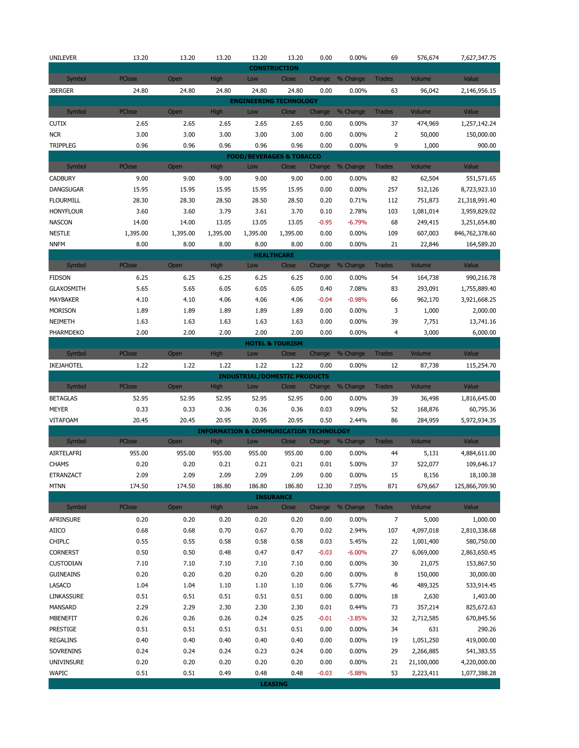| <b>UNILEVER</b>               | 13.20         | 13.20        | 13.20        | 13.20                                             | 13.20                               | 0.00         | 0.00%           | 69                   | 576,674                | 7,627,347.75         |
|-------------------------------|---------------|--------------|--------------|---------------------------------------------------|-------------------------------------|--------------|-----------------|----------------------|------------------------|----------------------|
|                               |               |              |              |                                                   | <b>CONSTRUCTION</b>                 |              |                 |                      |                        |                      |
| Symbol                        | PClose        | Open         | <b>High</b>  | Low                                               | Close                               | Change       | % Change        | <b>Trades</b>        | Volume                 | Value                |
| <b>JBERGER</b>                | 24.80         | 24.80        | 24.80        | 24.80                                             | 24.80                               | 0.00         | 0.00%           | 63                   | 96,042                 | 2,146,956.15         |
|                               | <b>PClose</b> | Open         | High         | <b>ENGINEERING TECHNOLOGY</b>                     |                                     |              | % Change        |                      | Volume                 | Value                |
| Symbol                        |               |              |              | Low                                               | Close                               | Change       |                 | <b>Trades</b>        |                        |                      |
| <b>CUTIX</b>                  | 2.65<br>3.00  | 2.65<br>3.00 | 2.65<br>3.00 | 2.65<br>3.00                                      | 2.65<br>3.00                        | 0.00         | 0.00%           | 37<br>$\overline{2}$ | 474,969                | 1,257,142.24         |
| <b>NCR</b><br><b>TRIPPLEG</b> | 0.96          | 0.96         | 0.96         | 0.96                                              | 0.96                                | 0.00<br>0.00 | 0.00%<br>0.00%  | 9                    | 50,000<br>1,000        | 150,000.00<br>900.00 |
|                               |               |              |              | <b>FOOD/BEVERAGES &amp; TOBACCO</b>               |                                     |              |                 |                      |                        |                      |
| Symbol                        | PClose        | Open         | <b>High</b>  | Low                                               | Close                               | Change       | % Change        | <b>Trades</b>        | Volume                 | Value                |
| <b>CADBURY</b>                | 9.00          | 9.00         | 9.00         | 9.00                                              | 9.00                                | 0.00         | 0.00%           | 82                   | 62,504                 | 551,571.65           |
| <b>DANGSUGAR</b>              | 15.95         | 15.95        | 15.95        | 15.95                                             | 15.95                               | 0.00         | 0.00%           | 257                  | 512,126                | 8,723,923.10         |
| <b>FLOURMILL</b>              | 28.30         | 28.30        | 28.50        | 28.50                                             | 28.50                               | 0.20         | 0.71%           | 112                  | 751,873                | 21,318,991.40        |
| <b>HONYFLOUR</b>              | 3.60          | 3.60         | 3.79         | 3.61                                              | 3.70                                | 0.10         | 2.78%           | 103                  | 1,081,014              | 3,959,829.02         |
| <b>NASCON</b>                 | 14.00         | 14.00        | 13.05        | 13.05                                             | 13.05                               | $-0.95$      | $-6.79%$        | 68                   | 249,415                | 3,251,654.80         |
| <b>NESTLE</b>                 | 1,395.00      | 1,395.00     | 1,395.00     | 1,395.00                                          | 1,395.00                            | 0.00         | 0.00%           | 109                  | 607,003                | 846,762,378.60       |
| <b>NNFM</b>                   | 8.00          | 8.00         | 8.00         | 8.00                                              | 8.00                                | 0.00         | 0.00%           | 21                   | 22,846                 | 164,589.20           |
|                               |               |              |              | <b>HEALTHCARE</b>                                 |                                     |              |                 |                      |                        |                      |
| Symbol                        | PClose        | Open         | <b>High</b>  | Low                                               | Close                               |              | Change % Change | <b>Trades</b>        | Volume                 | Value                |
| <b>FIDSON</b>                 | 6.25          | 6.25         | 6.25         | 6.25                                              | 6.25                                | 0.00         | 0.00%           | 54                   | 164,738                | 990,216.78           |
| <b>GLAXOSMITH</b>             | 5.65          | 5.65         | 6.05         | 6.05                                              | 6.05                                | 0.40         | 7.08%           | 83                   | 293,091                | 1,755,889.40         |
| MAYBAKER                      | 4.10          | 4.10         | 4.06         | 4.06                                              | 4.06                                | $-0.04$      | $-0.98%$        | 66                   | 962,170                | 3,921,668.25         |
| <b>MORISON</b>                | 1.89          | 1.89         | 1.89         | 1.89                                              | 1.89                                | 0.00         | 0.00%           | 3                    | 1,000                  | 2,000.00             |
| NEIMETH                       | 1.63          | 1.63         | 1.63         | 1.63                                              | 1.63                                | 0.00         | 0.00%           | 39                   | 7,751                  | 13,741.16            |
| PHARMDEKO                     | 2.00          | 2.00         | 2.00         | 2.00                                              | 2.00                                | 0.00         | 0.00%           | $\overline{4}$       | 3,000                  | 6,000.00             |
| Symbol                        | PClose        | Open         | <b>High</b>  | Low                                               | <b>HOTEL &amp; TOURISM</b><br>Close | Change       | % Change        | <b>Trades</b>        | Volume                 | Value                |
| IKEJAHOTEL                    | 1.22          | 1.22         | 1.22         | 1.22                                              | 1.22                                | 0.00         | 0.00%           | 12                   | 87,738                 | 115,254.70           |
|                               |               |              |              | <b>INDUSTRIAL/DOMESTIC PRODUCTS</b>               |                                     |              |                 |                      |                        |                      |
| Symbol                        | PClose        | Open         | <b>High</b>  | Low                                               | Close                               | Change       | % Change        | <b>Trades</b>        | Volume                 | Value                |
| <b>BETAGLAS</b>               | 52.95         | 52.95        | 52.95        | 52.95                                             | 52.95                               | 0.00         | 0.00%           | 39                   | 36,498                 | 1,816,645.00         |
| <b>MEYER</b>                  | 0.33          | 0.33         | 0.36         | 0.36                                              | 0.36                                | 0.03         | 9.09%           | 52                   | 168,876                | 60,795.36            |
| <b>VITAFOAM</b>               | 20.45         | 20.45        | 20.95        | 20.95                                             | 20.95                               | 0.50         | 2.44%           | 86                   | 284,959                | 5,972,934.35         |
|                               |               |              |              | <b>INFORMATION &amp; COMMUNICATION TECHNOLOGY</b> |                                     |              |                 |                      |                        |                      |
| Symbol                        | PClose        | Open         | <b>High</b>  | Low                                               | Close                               |              | Change % Change | <b>Trades</b>        | Volume                 | Value                |
| AIRTELAFRI                    | 955.00        | 955.00       | 955.00       | 955.00                                            | 955.00                              | 0.00         | 0.00%           | 44                   | 5,131                  | 4,884,611.00         |
| <b>CHAMS</b>                  | 0.20          | 0.20         | 0.21         | 0.21                                              | 0.21                                | 0.01         | 5.00%           | 37                   | 522,077                | 109,646.17           |
| ETRANZACT                     | 2.09          | 2.09         | 2.09         | 2.09                                              | 2.09                                | 0.00         | 0.00%           | 15                   | 8,156                  | 18,100.38            |
| <b>MTNN</b>                   | 174.50        | 174.50       | 186.80       | 186.80                                            | 186.80                              | 12.30        | 7.05%           | 871                  | 679,667                | 125,866,709.90       |
|                               |               |              |              |                                                   | <b>INSURANCE</b>                    |              |                 | <b>Trades</b>        | Volume                 | Value                |
| Symbol<br>AFRINSURE           | PClose        | Open         | High         | Low                                               | Close                               |              | Change % Change |                      |                        | 1,000.00             |
| AIICO                         | 0.20<br>0.68  | 0.20<br>0.68 | 0.20<br>0.70 | 0.20<br>0.67                                      | 0.20<br>0.70                        | 0.00         | 0.00%<br>2.94%  | $\overline{7}$       | 5,000                  | 2,810,338.68         |
| <b>CHIPLC</b>                 | 0.55          | 0.55         | 0.58         | 0.58                                              | 0.58                                | 0.02<br>0.03 | 5.45%           | 107<br>22            | 4,097,018<br>1,001,400 | 580,750.00           |
| <b>CORNERST</b>               | 0.50          | 0.50         | 0.48         | 0.47                                              | 0.47                                | $-0.03$      | $-6.00%$        | 27                   | 6,069,000              | 2,863,650.45         |
| <b>CUSTODIAN</b>              | 7.10          | 7.10         | 7.10         | 7.10                                              | 7.10                                | 0.00         | 0.00%           | 30                   | 21,075                 | 153,867.50           |
| <b>GUINEAINS</b>              | 0.20          | 0.20         | 0.20         | 0.20                                              | 0.20                                | 0.00         | 0.00%           | 8                    | 150,000                | 30,000.00            |
| LASACO                        | 1.04          | 1.04         | 1.10         | 1.10                                              | $1.10\,$                            | 0.06         | 5.77%           | 46                   | 489,325                | 533,914.45           |
| LINKASSURE                    | 0.51          | 0.51         | 0.51         | 0.51                                              | 0.51                                | 0.00         | 0.00%           | 18                   | 2,630                  | 1,403.00             |
| MANSARD                       | 2.29          | 2.29         | 2.30         | 2.30                                              | 2.30                                | 0.01         | 0.44%           | 73                   | 357,214                | 825,672.63           |
| MBENEFIT                      | 0.26          | 0.26         | 0.26         | 0.24                                              | 0.25                                | $-0.01$      | $-3.85%$        | 32                   | 2,712,585              | 670,845.56           |
| PRESTIGE                      | 0.51          | 0.51         | 0.51         | 0.51                                              | 0.51                                | 0.00         | 0.00%           | 34                   | 631                    | 290.26               |
| <b>REGALINS</b>               | 0.40          | 0.40         | 0.40         | 0.40                                              | 0.40                                | 0.00         | 0.00%           | 19                   | 1,051,250              | 419,000.00           |
| SOVRENINS                     | 0.24          | 0.24         | 0.24         | 0.23                                              | 0.24                                | 0.00         | 0.00%           | 29                   | 2,266,885              | 541,383.55           |
| UNIVINSURE                    | 0.20          | 0.20         | 0.20         | 0.20                                              | 0.20                                | 0.00         | 0.00%           | 21                   | 21,100,000             | 4,220,000.00         |
| <b>WAPIC</b>                  | 0.51          | 0.51         | 0.49         | 0.48                                              | 0.48                                | $-0.03$      | $-5.88%$        | 53                   | 2,223,411              | 1,077,388.28         |
|                               |               |              |              | <b>LEASING</b>                                    |                                     |              |                 |                      |                        |                      |